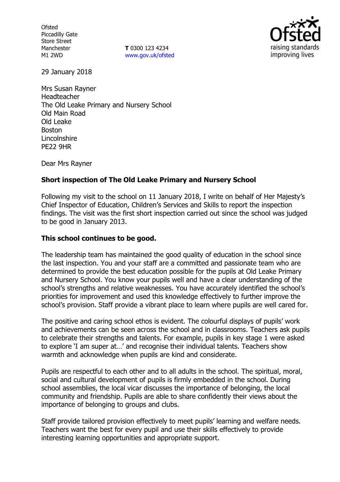**Ofsted** Piccadilly Gate Store Street Manchester M1 2WD

**T** 0300 123 4234 www.gov.uk/ofsted



29 January 2018

Mrs Susan Rayner Headteacher The Old Leake Primary and Nursery School Old Main Road Old Leake Boston Lincolnshire PE22 9HR

Dear Mrs Rayner

# **Short inspection of The Old Leake Primary and Nursery School**

Following my visit to the school on 11 January 2018, I write on behalf of Her Majesty's Chief Inspector of Education, Children's Services and Skills to report the inspection findings. The visit was the first short inspection carried out since the school was judged to be good in January 2013.

# **This school continues to be good.**

The leadership team has maintained the good quality of education in the school since the last inspection. You and your staff are a committed and passionate team who are determined to provide the best education possible for the pupils at Old Leake Primary and Nursery School. You know your pupils well and have a clear understanding of the school's strengths and relative weaknesses. You have accurately identified the school's priorities for improvement and used this knowledge effectively to further improve the school's provision. Staff provide a vibrant place to learn where pupils are well cared for.

The positive and caring school ethos is evident. The colourful displays of pupils' work and achievements can be seen across the school and in classrooms. Teachers ask pupils to celebrate their strengths and talents. For example, pupils in key stage 1 were asked to explore 'I am super at…' and recognise their individual talents. Teachers show warmth and acknowledge when pupils are kind and considerate.

Pupils are respectful to each other and to all adults in the school. The spiritual, moral, social and cultural development of pupils is firmly embedded in the school. During school assemblies, the local vicar discusses the importance of belonging, the local community and friendship. Pupils are able to share confidently their views about the importance of belonging to groups and clubs.

Staff provide tailored provision effectively to meet pupils' learning and welfare needs. Teachers want the best for every pupil and use their skills effectively to provide interesting learning opportunities and appropriate support.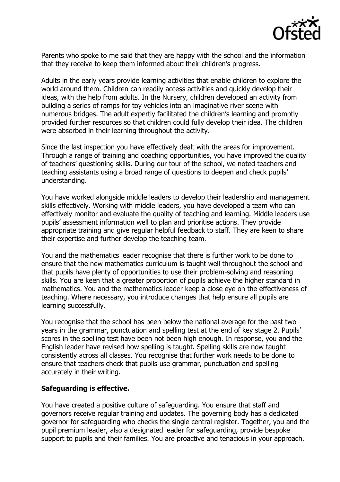

Parents who spoke to me said that they are happy with the school and the information that they receive to keep them informed about their children's progress.

Adults in the early years provide learning activities that enable children to explore the world around them. Children can readily access activities and quickly develop their ideas, with the help from adults. In the Nursery, children developed an activity from building a series of ramps for toy vehicles into an imaginative river scene with numerous bridges. The adult expertly facilitated the children's learning and promptly provided further resources so that children could fully develop their idea. The children were absorbed in their learning throughout the activity.

Since the last inspection you have effectively dealt with the areas for improvement. Through a range of training and coaching opportunities, you have improved the quality of teachers' questioning skills. During our tour of the school, we noted teachers and teaching assistants using a broad range of questions to deepen and check pupils' understanding.

You have worked alongside middle leaders to develop their leadership and management skills effectively. Working with middle leaders, you have developed a team who can effectively monitor and evaluate the quality of teaching and learning. Middle leaders use pupils' assessment information well to plan and prioritise actions. They provide appropriate training and give regular helpful feedback to staff. They are keen to share their expertise and further develop the teaching team.

You and the mathematics leader recognise that there is further work to be done to ensure that the new mathematics curriculum is taught well throughout the school and that pupils have plenty of opportunities to use their problem-solving and reasoning skills. You are keen that a greater proportion of pupils achieve the higher standard in mathematics. You and the mathematics leader keep a close eye on the effectiveness of teaching. Where necessary, you introduce changes that help ensure all pupils are learning successfully.

You recognise that the school has been below the national average for the past two years in the grammar, punctuation and spelling test at the end of key stage 2. Pupils' scores in the spelling test have been not been high enough. In response, you and the English leader have revised how spelling is taught. Spelling skills are now taught consistently across all classes. You recognise that further work needs to be done to ensure that teachers check that pupils use grammar, punctuation and spelling accurately in their writing.

# **Safeguarding is effective.**

You have created a positive culture of safeguarding. You ensure that staff and governors receive regular training and updates. The governing body has a dedicated governor for safeguarding who checks the single central register. Together, you and the pupil premium leader, also a designated leader for safeguarding, provide bespoke support to pupils and their families. You are proactive and tenacious in your approach.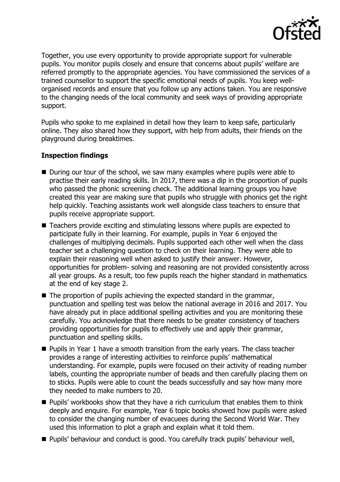

Together, you use every opportunity to provide appropriate support for vulnerable pupils. You monitor pupils closely and ensure that concerns about pupils' welfare are referred promptly to the appropriate agencies. You have commissioned the services of a trained counsellor to support the specific emotional needs of pupils. You keep wellorganised records and ensure that you follow up any actions taken. You are responsive to the changing needs of the local community and seek ways of providing appropriate support.

Pupils who spoke to me explained in detail how they learn to keep safe, particularly online. They also shared how they support, with help from adults, their friends on the playground during breaktimes.

# **Inspection findings**

- During our tour of the school, we saw many examples where pupils were able to practise their early reading skills. In 2017, there was a dip in the proportion of pupils who passed the phonic screening check. The additional learning groups you have created this year are making sure that pupils who struggle with phonics get the right help quickly. Teaching assistants work well alongside class teachers to ensure that pupils receive appropriate support.
- Teachers provide exciting and stimulating lessons where pupils are expected to participate fully in their learning. For example, pupils in Year 6 enjoyed the challenges of multiplying decimals. Pupils supported each other well when the class teacher set a challenging question to check on their learning. They were able to explain their reasoning well when asked to justify their answer. However, opportunities for problem- solving and reasoning are not provided consistently across all year groups. As a result, too few pupils reach the higher standard in mathematics at the end of key stage 2.
- $\blacksquare$  The proportion of pupils achieving the expected standard in the grammar, punctuation and spelling test was below the national average in 2016 and 2017. You have already put in place additional spelling activities and you are monitoring these carefully. You acknowledge that there needs to be greater consistency of teachers providing opportunities for pupils to effectively use and apply their grammar, punctuation and spelling skills.
- **Pupils in Year 1 have a smooth transition from the early years. The class teacher** provides a range of interesting activities to reinforce pupils' mathematical understanding. For example, pupils were focused on their activity of reading number labels, counting the appropriate number of beads and then carefully placing them on to sticks. Pupils were able to count the beads successfully and say how many more they needed to make numbers to 20.
- **Pupils' workbooks show that they have a rich curriculum that enables them to think** deeply and enquire. For example, Year 6 topic books showed how pupils were asked to consider the changing number of evacuees during the Second World War. They used this information to plot a graph and explain what it told them.
- **Pupils' behaviour and conduct is good. You carefully track pupils' behaviour well,**